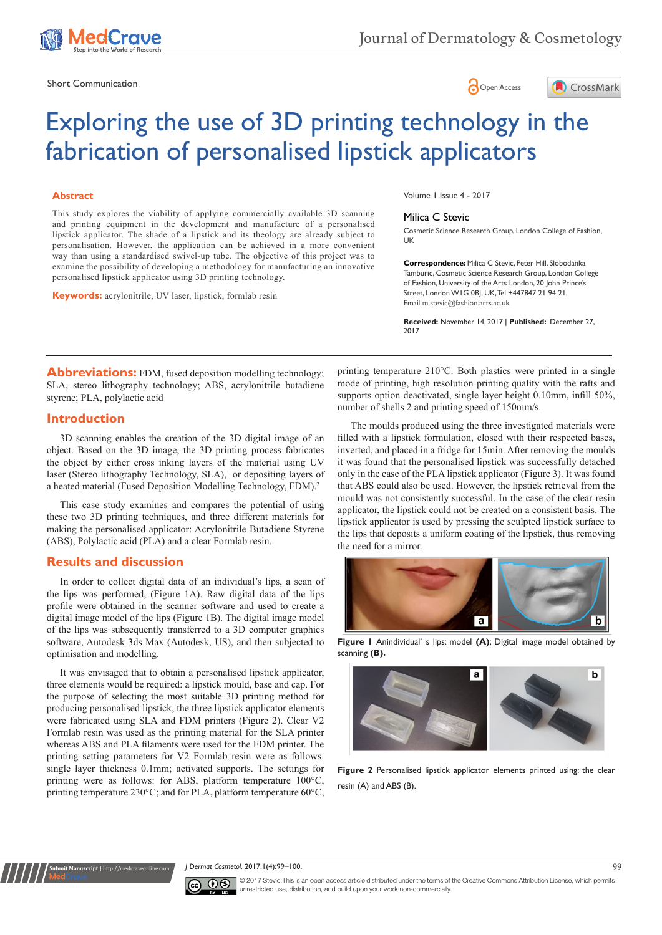

Short Communication and the state of the state of the state of the Spen Access of the Spen Access of the Spen Access of the Spen Access of the Spen Access of the Spen Access of the Spen Access of the Spen Access of the Spe





# Exploring the use of 3D printing technology in the fabrication of personalised lipstick applicators

#### **Abstract**

This study explores the viability of applying commercially available 3D scanning and printing equipment in the development and manufacture of a personalised lipstick applicator. The shade of a lipstick and its theology are already subject to personalisation. However, the application can be achieved in a more convenient way than using a standardised swivel-up tube. The objective of this project was to examine the possibility of developing a methodology for manufacturing an innovative personalised lipstick applicator using 3D printing technology.

**Keywords:** acrylonitrile, UV laser, lipstick, formlab resin

Volume 1 Issue 4 - 2017

#### Milica C Stevic

Cosmetic Science Research Group, London College of Fashion, UK

**Correspondence:** Milica C Stevic, Peter Hill, Slobodanka Tamburic, Cosmetic Science Research Group, London College of Fashion, University of the Arts London, 20 John Prince's Street, London W1G 0BJ, UK, Tel +447847 21 94 21, Email m.stevic@fashion.arts.ac.uk

**Received:** November 14, 2017 | **Published:** December 27, 2017

**Abbreviations:** FDM, fused deposition modelling technology; SLA, stereo lithography technology; ABS, acrylonitrile butadiene styrene; PLA, polylactic acid

### **Introduction**

3D scanning enables the creation of the 3D digital image of an object. Based on the 3D image, the 3D printing process fabricates the object by either cross inking layers of the material using UV laser (Stereo lithography Technology, SLA),<sup>1</sup> or depositing layers of a heated material (Fused Deposition Modelling Technology, FDM).2

This case study examines and compares the potential of using these two 3D printing techniques, and three different materials for making the personalised applicator: Acrylonitrile Butadiene Styrene (ABS), Polylactic acid (PLA) and a clear Formlab resin.

#### **Results and discussion**

**Submit Manuscript** | http://medcraveonline.com

In order to collect digital data of an individual's lips, a scan of the lips was performed, (Figure 1A). Raw digital data of the lips profile were obtained in the scanner software and used to create a digital image model of the lips (Figure 1B). The digital image model of the lips was subsequently transferred to a 3D computer graphics software, Autodesk 3ds Max (Autodesk, US), and then subjected to optimisation and modelling.

It was envisaged that to obtain a personalised lipstick applicator, three elements would be required: a lipstick mould, base and cap. For the purpose of selecting the most suitable 3D printing method for producing personalised lipstick, the three lipstick applicator elements were fabricated using SLA and FDM printers (Figure 2). Clear V2 Formlab resin was used as the printing material for the SLA printer whereas ABS and PLA filaments were used for the FDM printer. The printing setting parameters for V2 Formlab resin were as follows: single layer thickness 0.1mm; activated supports. The settings for printing were as follows: for ABS, platform temperature 100°C, printing temperature 230°C; and for PLA, platform temperature 60°C,

printing temperature 210°C. Both plastics were printed in a single mode of printing, high resolution printing quality with the rafts and supports option deactivated, single layer height 0.10mm, infill 50%, number of shells 2 and printing speed of 150mm/s.

The moulds produced using the three investigated materials were filled with a lipstick formulation, closed with their respected bases, inverted, and placed in a fridge for 15min. After removing the moulds it was found that the personalised lipstick was successfully detached only in the case of the PLA lipstick applicator (Figure 3). It was found that ABS could also be used. However, the lipstick retrieval from the mould was not consistently successful. In the case of the clear resin applicator, the lipstick could not be created on a consistent basis. The lipstick applicator is used by pressing the sculpted lipstick surface to the lips that deposits a uniform coating of the lipstick, thus removing the need for a mirror.



**Figure 1** Anindividual' s lips: model **(A)**; Digital image model obtained by scanning **(B).**



**Figure 2** Personalised lipstick applicator elements printed using: the clear resin (A) and ABS (B).





© 2017 Stevic. This is an open access article distributed under the terms of the [Creative Commons Attribution License](https://creativecommons.org/licenses/by-nc/4.0/), which permits unrestricted use, distribution, and build upon your work non-commercially.